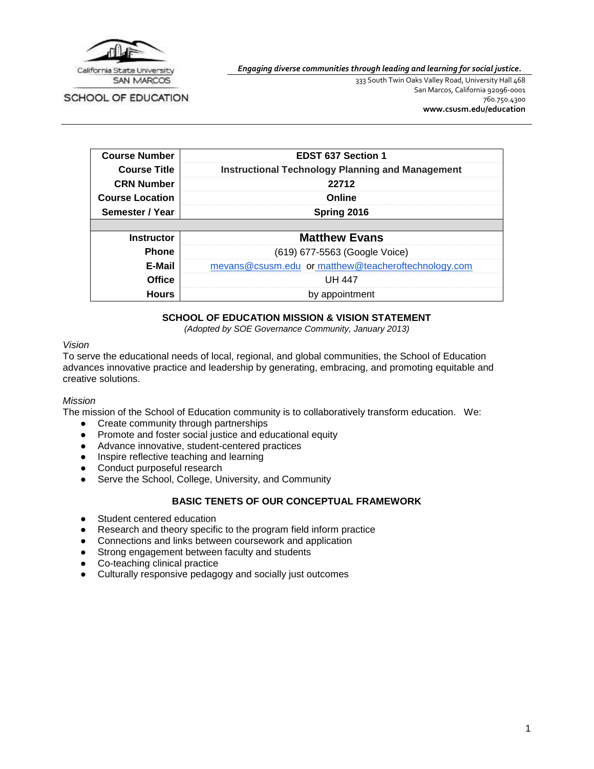

*Engaging diverse communities through leading and learning for social justice.*

SCHOOL OF EDUCATION

333 South Twin Oaks Valley Road, University Hall 468 San Marcos, California 92096-0001 760.750.4300 **[www.csusm.edu/education](http://www.csusm.edu/education)**

| <b>Course Number</b>   | <b>EDST 637 Section 1</b>                               |  |  |  |
|------------------------|---------------------------------------------------------|--|--|--|
| <b>Course Title</b>    | <b>Instructional Technology Planning and Management</b> |  |  |  |
| <b>CRN Number</b>      | 22712                                                   |  |  |  |
| <b>Course Location</b> | Online                                                  |  |  |  |
| Semester / Year        | Spring 2016                                             |  |  |  |
|                        |                                                         |  |  |  |
| <b>Instructor</b>      | <b>Matthew Evans</b>                                    |  |  |  |
| <b>Phone</b>           | (619) 677-5563 (Google Voice)                           |  |  |  |
| E-Mail                 | mevans@csusm.edu_or matthew@teacheroftechnology.com     |  |  |  |
| <b>Office</b>          | UH 447                                                  |  |  |  |
| <b>Hours</b>           | by appointment                                          |  |  |  |

# **SCHOOL OF EDUCATION MISSION & VISION STATEMENT**

*(Adopted by SOE Governance Community, January 2013)*

#### *Vision*

To serve the educational needs of local, regional, and global communities, the School of Education advances innovative practice and leadership by generating, embracing, and promoting equitable and creative solutions.

#### *Mission*

The mission of the School of Education community is to collaboratively transform education. We:

- Create community through partnerships
- Promote and foster social justice and educational equity
- Advance innovative, student-centered practices
- Inspire reflective teaching and learning
- Conduct purposeful research
- Serve the School, College, University, and Community

### **BASIC TENETS OF OUR CONCEPTUAL FRAMEWORK**

- Student centered education
- Research and theory specific to the program field inform practice
- Connections and links between coursework and application
- Strong engagement between faculty and students
- Co-teaching clinical practice
- Culturally responsive pedagogy and socially just outcomes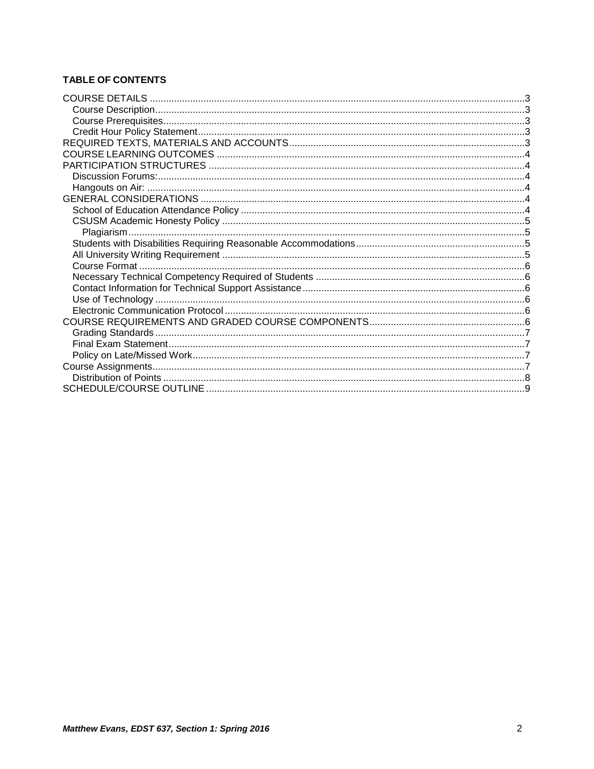# **TABLE OF CONTENTS**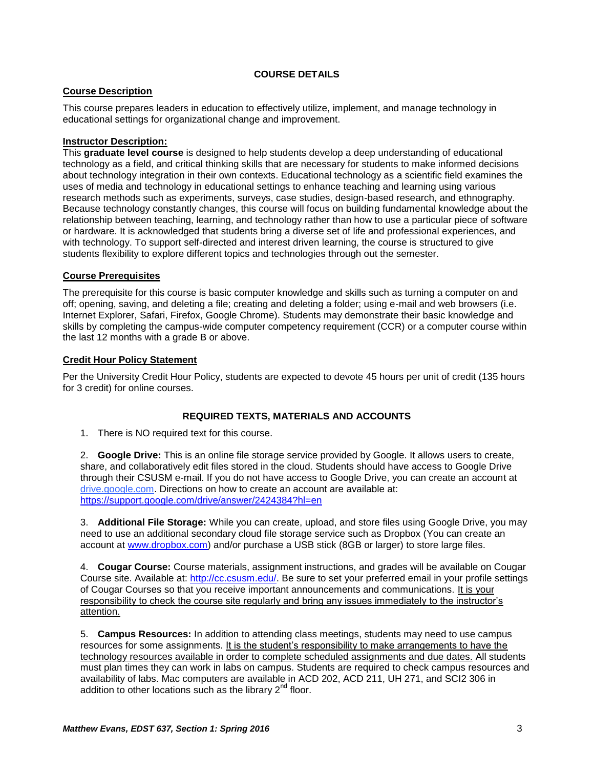# **COURSE DETAILS**

# <span id="page-2-1"></span><span id="page-2-0"></span>**Course Description**

This course prepares leaders in education to effectively utilize, implement, and manage technology in educational settings for organizational change and improvement.

### **Instructor Description:**

This **graduate level course** is designed to help students develop a deep understanding of educational technology as a field, and critical thinking skills that are necessary for students to make informed decisions about technology integration in their own contexts. Educational technology as a scientific field examines the uses of media and technology in educational settings to enhance teaching and learning using various research methods such as experiments, surveys, case studies, design-based research, and ethnography. Because technology constantly changes, this course will focus on building fundamental knowledge about the relationship between teaching, learning, and technology rather than how to use a particular piece of software or hardware. It is acknowledged that students bring a diverse set of life and professional experiences, and with technology. To support self-directed and interest driven learning, the course is structured to give students flexibility to explore different topics and technologies through out the semester.

### <span id="page-2-2"></span>**Course Prerequisites**

The prerequisite for this course is basic computer knowledge and skills such as turning a computer on and off; opening, saving, and deleting a file; creating and deleting a folder; using e-mail and web browsers (i.e. Internet Explorer, Safari, Firefox, Google Chrome). Students may demonstrate their basic knowledge and skills by completing the campus-wide computer competency requirement (CCR) or a computer course within the last 12 months with a grade B or above.

### <span id="page-2-3"></span>**Credit Hour Policy Statement**

Per the University Credit Hour Policy, students are expected to devote 45 hours per unit of credit (135 hours for 3 credit) for online courses.

# **REQUIRED TEXTS, MATERIALS AND ACCOUNTS**

<span id="page-2-4"></span>1. There is NO required text for this course.

2. **Google Drive:** This is an online file storage service provided by Google. It allows users to create, share, and collaboratively edit files stored in the cloud. Students should have access to Google Drive through their CSUSM e-mail. If you do not have access to Google Drive, you can create an account at drive.google.com. Directions on how to create an account are available at: <https://support.google.com/drive/answer/2424384?hl=en>

3. **Additional File Storage:** While you can create, upload, and store files using Google Drive, you may need to use an additional secondary cloud file storage service such as Dropbox (You can create an account at [www.dropbox.com\)](http://www.dropbox.com/) and/or purchase a USB stick (8GB or larger) to store large files.

4. **Cougar Course:** Course materials, assignment instructions, and grades will be available on Cougar Course site. Available at: [http://cc.csusm.edu/.](http://cc.csusm.edu/) Be sure to set your preferred email in your profile settings of Cougar Courses so that you receive important announcements and communications. It is your responsibility to check the course site regularly and bring any issues immediately to the instructor's attention.

5. **Campus Resources:** In addition to attending class meetings, students may need to use campus resources for some assignments. It is the student's responsibility to make arrangements to have the technology resources available in order to complete scheduled assignments and due dates. All students must plan times they can work in labs on campus. Students are required to check campus resources and availability of labs. Mac computers are available in ACD 202, ACD 211, UH 271, and SCI2 306 in addition to other locations such as the library  $2<sup>nd</sup>$  floor.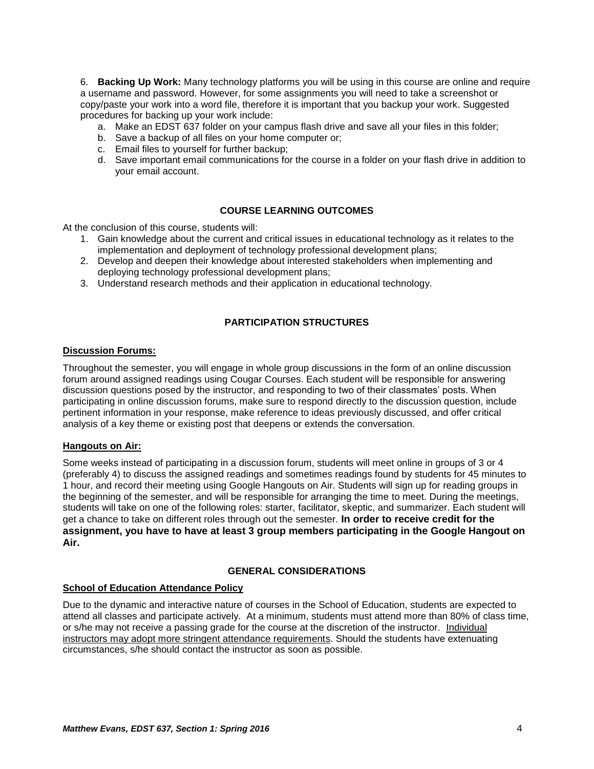6. **Backing Up Work:** Many technology platforms you will be using in this course are online and require a username and password. However, for some assignments you will need to take a screenshot or copy/paste your work into a word file, therefore it is important that you backup your work. Suggested procedures for backing up your work include:

- a. Make an EDST 637 folder on your campus flash drive and save all your files in this folder;
- b. Save a backup of all files on your home computer or;
- c. Email files to yourself for further backup;
- d. Save important email communications for the course in a folder on your flash drive in addition to your email account.

# **COURSE LEARNING OUTCOMES**

<span id="page-3-0"></span>At the conclusion of this course, students will:

- 1. Gain knowledge about the current and critical issues in educational technology as it relates to the implementation and deployment of technology professional development plans;
- 2. Develop and deepen their knowledge about interested stakeholders when implementing and deploying technology professional development plans;
- 3. Understand research methods and their application in educational technology.

# **PARTICIPATION STRUCTURES**

#### <span id="page-3-2"></span><span id="page-3-1"></span>**Discussion Forums:**

Throughout the semester, you will engage in whole group discussions in the form of an online discussion forum around assigned readings using Cougar Courses. Each student will be responsible for answering discussion questions posed by the instructor, and responding to two of their classmates' posts. When participating in online discussion forums, make sure to respond directly to the discussion question, include pertinent information in your response, make reference to ideas previously discussed, and offer critical analysis of a key theme or existing post that deepens or extends the conversation.

#### <span id="page-3-3"></span>**Hangouts on Air:**

Some weeks instead of participating in a discussion forum, students will meet online in groups of 3 or 4 (preferably 4) to discuss the assigned readings and sometimes readings found by students for 45 minutes to 1 hour, and record their meeting using Google Hangouts on Air. Students will sign up for reading groups in the beginning of the semester, and will be responsible for arranging the time to meet. During the meetings, students will take on one of the following roles: starter, facilitator, skeptic, and summarizer. Each student will get a chance to take on different roles through out the semester. **In order to receive credit for the assignment, you have to have at least 3 group members participating in the Google Hangout on Air.** 

### **GENERAL CONSIDERATIONS**

#### <span id="page-3-5"></span><span id="page-3-4"></span>**School of Education Attendance Policy**

Due to the dynamic and interactive nature of courses in the School of Education, students are expected to attend all classes and participate actively. At a minimum, students must attend more than 80% of class time, or s/he may not receive a passing grade for the course at the discretion of the instructor. Individual instructors may adopt more stringent attendance requirements. Should the students have extenuating circumstances, s/he should contact the instructor as soon as possible.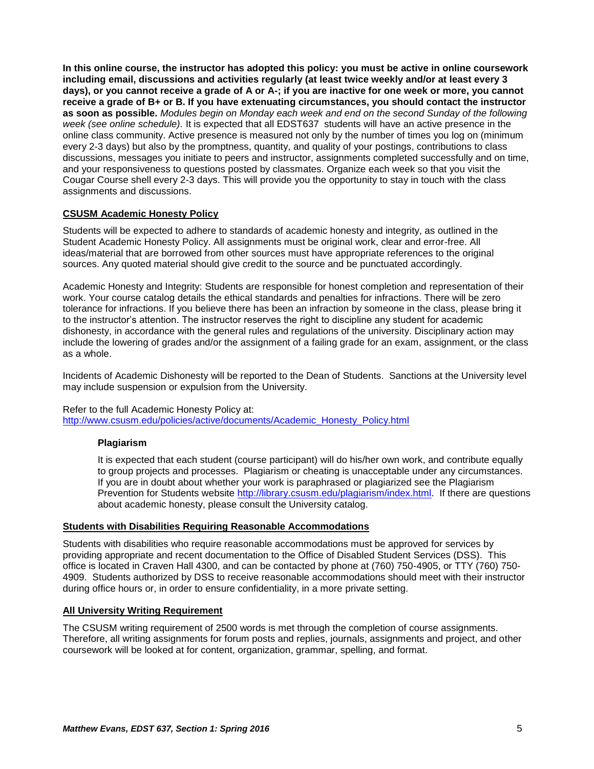**In this online course, the instructor has adopted this policy: you must be active in online coursework including email, discussions and activities regularly (at least twice weekly and/or at least every 3 days), or you cannot receive a grade of A or A-; if you are inactive for one week or more, you cannot receive a grade of B+ or B. If you have extenuating circumstances, you should contact the instructor as soon as possible.** *Modules begin on Monday each week and end on the second Sunday of the following week (see online schedule).* It is expected that all EDST637 students will have an active presence in the online class community. Active presence is measured not only by the number of times you log on (minimum every 2-3 days) but also by the promptness, quantity, and quality of your postings, contributions to class discussions, messages you initiate to peers and instructor, assignments completed successfully and on time, and your responsiveness to questions posted by classmates. Organize each week so that you visit the Cougar Course shell every 2-3 days. This will provide you the opportunity to stay in touch with the class assignments and discussions.

### <span id="page-4-0"></span>**CSUSM Academic Honesty Policy**

Students will be expected to adhere to standards of academic honesty and integrity, as outlined in the Student Academic Honesty Policy. All assignments must be original work, clear and error-free. All ideas/material that are borrowed from other sources must have appropriate references to the original sources. Any quoted material should give credit to the source and be punctuated accordingly.

Academic Honesty and Integrity: Students are responsible for honest completion and representation of their work. Your course catalog details the ethical standards and penalties for infractions. There will be zero tolerance for infractions. If you believe there has been an infraction by someone in the class, please bring it to the instructor's attention. The instructor reserves the right to discipline any student for academic dishonesty, in accordance with the general rules and regulations of the university. Disciplinary action may include the lowering of grades and/or the assignment of a failing grade for an exam, assignment, or the class as a whole.

Incidents of Academic Dishonesty will be reported to the Dean of Students. Sanctions at the University level may include suspension or expulsion from the University.

#### Refer to the full Academic Honesty Policy at:

<span id="page-4-1"></span>[http://www.csusm.edu/policies/active/documents/Academic\\_Honesty\\_Policy.html](http://www.csusm.edu/policies/active/documents/Academic_Honesty_Policy.html)

#### **Plagiarism**

It is expected that each student (course participant) will do his/her own work, and contribute equally to group projects and processes. Plagiarism or cheating is unacceptable under any circumstances. If you are in doubt about whether your work is paraphrased or plagiarized see the Plagiarism Prevention for Students website [http://library.csusm.edu/plagiarism/index.html.](http://library.csusm.edu/plagiarism/index.html) If there are questions about academic honesty, please consult the University catalog.

#### <span id="page-4-2"></span>**Students with Disabilities Requiring Reasonable Accommodations**

Students with disabilities who require reasonable accommodations must be approved for services by providing appropriate and recent documentation to the Office of Disabled Student Services (DSS). This office is located in Craven Hall 4300, and can be contacted by phone at (760) 750-4905, or TTY (760) 750- 4909. Students authorized by DSS to receive reasonable accommodations should meet with their instructor during office hours or, in order to ensure confidentiality, in a more private setting.

#### <span id="page-4-3"></span>**All University Writing Requirement**

The CSUSM writing requirement of 2500 words is met through the completion of course assignments. Therefore, all writing assignments for forum posts and replies, journals, assignments and project, and other coursework will be looked at for content, organization, grammar, spelling, and format.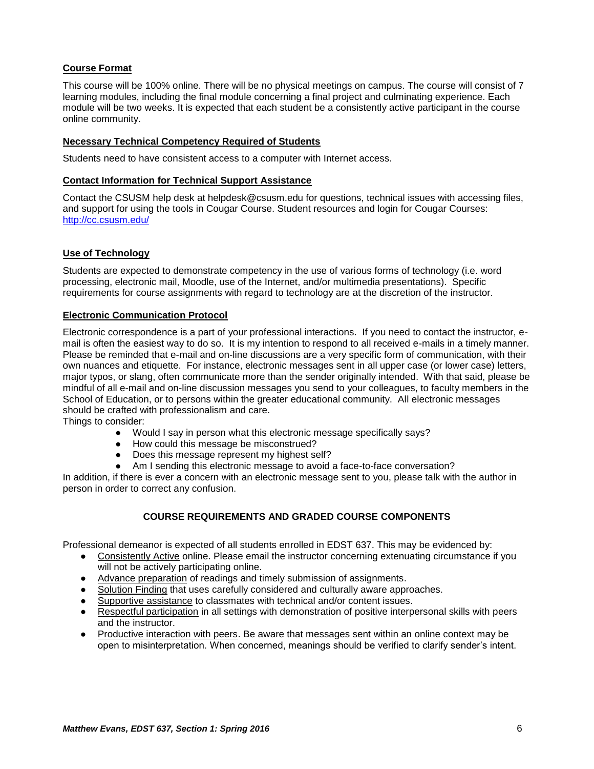# <span id="page-5-0"></span>**Course Format**

This course will be 100% online. There will be no physical meetings on campus. The course will consist of 7 learning modules, including the final module concerning a final project and culminating experience. Each module will be two weeks. It is expected that each student be a consistently active participant in the course online community.

### <span id="page-5-1"></span>**Necessary Technical Competency Required of Students**

Students need to have consistent access to a computer with Internet access.

#### <span id="page-5-2"></span>**Contact Information for Technical Support Assistance**

Contact the CSUSM help desk at helpdesk@csusm.edu for questions, technical issues with accessing files, and support for using the tools in Cougar Course. Student resources and login for Cougar Courses[:](http://cc.csusm.edu/) <http://cc.csusm.edu/>

# <span id="page-5-3"></span>**Use of Technology**

Students are expected to demonstrate competency in the use of various forms of technology (i.e. word processing, electronic mail, Moodle, use of the Internet, and/or multimedia presentations). Specific requirements for course assignments with regard to technology are at the discretion of the instructor.

### <span id="page-5-4"></span>**Electronic Communication Protocol**

Electronic correspondence is a part of your professional interactions. If you need to contact the instructor, email is often the easiest way to do so. It is my intention to respond to all received e-mails in a timely manner. Please be reminded that e-mail and on-line discussions are a very specific form of communication, with their own nuances and etiquette. For instance, electronic messages sent in all upper case (or lower case) letters, major typos, or slang, often communicate more than the sender originally intended. With that said, please be mindful of all e-mail and on-line discussion messages you send to your colleagues, to faculty members in the School of Education, or to persons within the greater educational community. All electronic messages should be crafted with professionalism and care.

Things to consider:

- Would I say in person what this electronic message specifically says?
- How could this message be misconstrued?
- Does this message represent my highest self?
- Am I sending this electronic message to avoid a face-to-face conversation?

<span id="page-5-5"></span>In addition, if there is ever a concern with an electronic message sent to you, please talk with the author in person in order to correct any confusion.

# **COURSE REQUIREMENTS AND GRADED COURSE COMPONENTS**

Professional demeanor is expected of all students enrolled in EDST 637. This may be evidenced by:

- Consistently Active online. Please email the instructor concerning extenuating circumstance if you will not be actively participating online.
- Advance preparation of readings and timely submission of assignments.
- Solution Finding that uses carefully considered and culturally aware approaches.
- Supportive assistance to classmates with technical and/or content issues.
- Respectful participation in all settings with demonstration of positive interpersonal skills with peers and the instructor.
- Productive interaction with peers. Be aware that messages sent within an online context may be open to misinterpretation. When concerned, meanings should be verified to clarify sender's intent.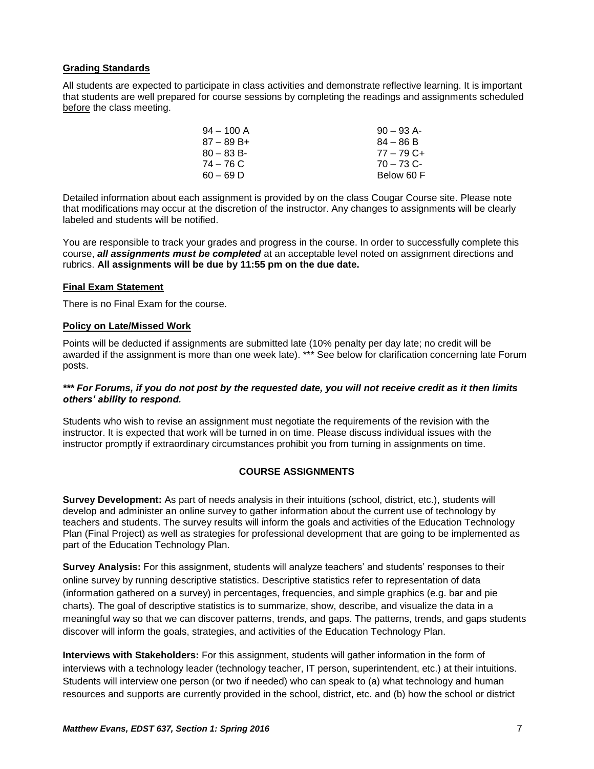### <span id="page-6-0"></span>**Grading Standards**

All students are expected to participate in class activities and demonstrate reflective learning. It is important that students are well prepared for course sessions by completing the readings and assignments scheduled before the class meeting.

| $94 - 100$ A | $90 - 93$ A- |
|--------------|--------------|
| $87 - 89B +$ | $84 - 86 B$  |
| $80 - 83 B$  | $77 - 79$ C+ |
| 74 – 76 C    | $70 - 73$ C- |
| $60 - 69$ D  | Below 60 F   |

Detailed information about each assignment is provided by on the class Cougar Course site. Please note that modifications may occur at the discretion of the instructor. Any changes to assignments will be clearly labeled and students will be notified.

You are responsible to track your grades and progress in the course. In order to successfully complete this course, *all assignments must be completed* at an acceptable level noted on assignment directions and rubrics. **All assignments will be due by 11:55 pm on the due date.**

#### <span id="page-6-1"></span>**Final Exam Statement**

There is no Final Exam for the course.

#### <span id="page-6-2"></span>**Policy on Late/Missed Work**

Points will be deducted if assignments are submitted late (10% penalty per day late; no credit will be awarded if the assignment is more than one week late). \*\*\* See below for clarification concerning late Forum posts.

#### *\*\*\* For Forums, if you do not post by the requested date, you will not receive credit as it then limits others' ability to respond.*

Students who wish to revise an assignment must negotiate the requirements of the revision with the instructor. It is expected that work will be turned in on time. Please discuss individual issues with the instructor promptly if extraordinary circumstances prohibit you from turning in assignments on time.

#### **COURSE ASSIGNMENTS**

<span id="page-6-3"></span>**Survey Development:** As part of needs analysis in their intuitions (school, district, etc.), students will develop and administer an online survey to gather information about the current use of technology by teachers and students. The survey results will inform the goals and activities of the Education Technology Plan (Final Project) as well as strategies for professional development that are going to be implemented as part of the Education Technology Plan.

**Survey Analysis:** For this assignment, students will analyze teachers' and students' responses to their online survey by running descriptive statistics. Descriptive statistics refer to representation of data (information gathered on a survey) in percentages, frequencies, and simple graphics (e.g. bar and pie charts). The goal of descriptive statistics is to summarize, show, describe, and visualize the data in a meaningful way so that we can discover patterns, trends, and gaps. The patterns, trends, and gaps students discover will inform the goals, strategies, and activities of the Education Technology Plan.

**Interviews with Stakeholders:** For this assignment, students will gather information in the form of interviews with a technology leader (technology teacher, IT person, superintendent, etc.) at their intuitions. Students will interview one person (or two if needed) who can speak to (a) what technology and human resources and supports are currently provided in the school, district, etc. and (b) how the school or district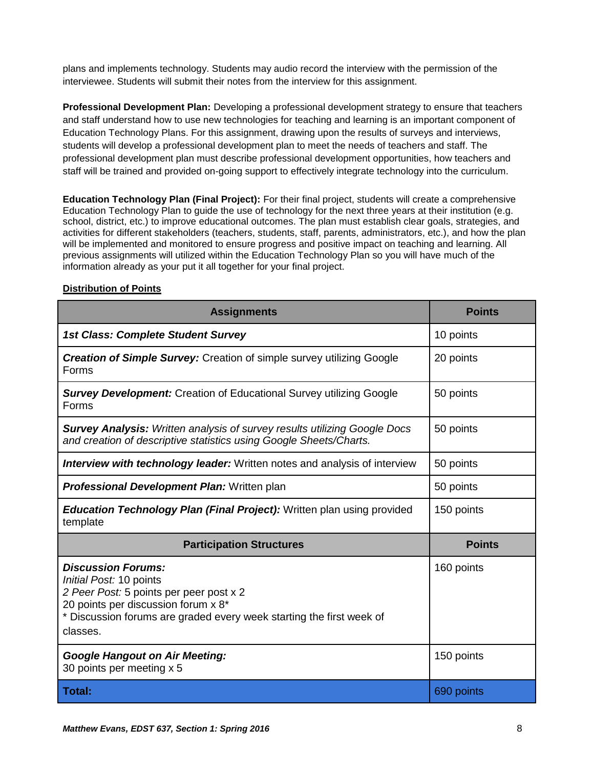plans and implements technology. Students may audio record the interview with the permission of the interviewee. Students will submit their notes from the interview for this assignment.

**Professional Development Plan:** Developing a professional development strategy to ensure that teachers and staff understand how to use new technologies for teaching and learning is an important component of Education Technology Plans. For this assignment, drawing upon the results of surveys and interviews, students will develop a professional development plan to meet the needs of teachers and staff. The professional development plan must describe professional development opportunities, how teachers and staff will be trained and provided on-going support to effectively integrate technology into the curriculum.

**Education Technology Plan (Final Project):** For their final project, students will create a comprehensive Education Technology Plan to guide the use of technology for the next three years at their institution (e.g. school, district, etc.) to improve educational outcomes. The plan must establish clear goals, strategies, and activities for different stakeholders (teachers, students, staff, parents, administrators, etc.), and how the plan will be implemented and monitored to ensure progress and positive impact on teaching and learning. All previous assignments will utilized within the Education Technology Plan so you will have much of the information already as your put it all together for your final project.

# <span id="page-7-0"></span>**Distribution of Points**

| <b>Assignments</b>                                                                                                                                                                                                         | <b>Points</b> |
|----------------------------------------------------------------------------------------------------------------------------------------------------------------------------------------------------------------------------|---------------|
| <b>1st Class: Complete Student Survey</b>                                                                                                                                                                                  | 10 points     |
| <b>Creation of Simple Survey:</b> Creation of simple survey utilizing Google<br>Forms                                                                                                                                      | 20 points     |
| <b>Survey Development:</b> Creation of Educational Survey utilizing Google<br>Forms                                                                                                                                        | 50 points     |
| <b>Survey Analysis:</b> Written analysis of survey results utilizing Google Docs<br>and creation of descriptive statistics using Google Sheets/Charts.                                                                     | 50 points     |
| <b>Interview with technology leader:</b> Written notes and analysis of interview                                                                                                                                           | 50 points     |
| <b>Professional Development Plan: Written plan</b>                                                                                                                                                                         | 50 points     |
| <b>Education Technology Plan (Final Project):</b> Written plan using provided<br>template                                                                                                                                  | 150 points    |
| <b>Participation Structures</b>                                                                                                                                                                                            | <b>Points</b> |
| <b>Discussion Forums:</b><br>Initial Post: 10 points<br>2 Peer Post: 5 points per peer post x 2<br>20 points per discussion forum x 8*<br>* Discussion forums are graded every week starting the first week of<br>classes. | 160 points    |
|                                                                                                                                                                                                                            |               |
| <b>Google Hangout on Air Meeting:</b><br>30 points per meeting x 5                                                                                                                                                         | 150 points    |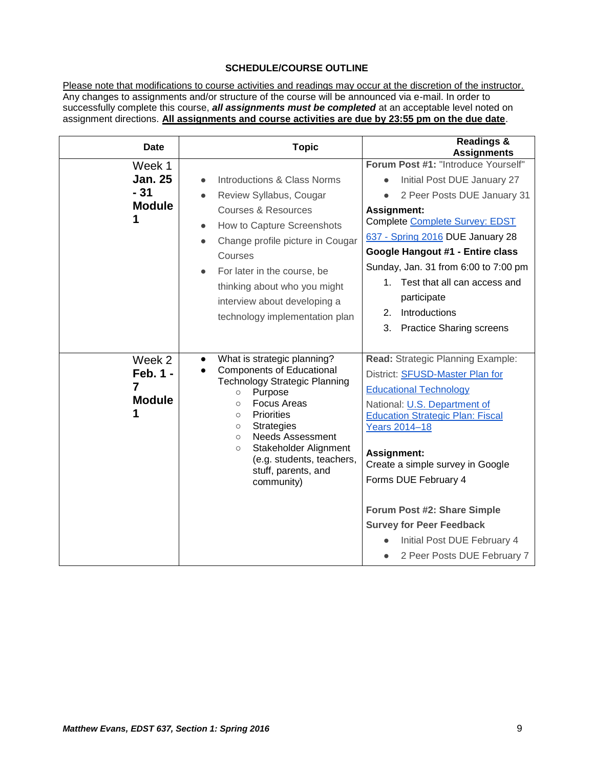# **SCHEDULE/COURSE OUTLINE**

<span id="page-8-0"></span>Please note that modifications to course activities and readings may occur at the discretion of the instructor. Any changes to assignments and/or structure of the course will be announced via e-mail. In order to successfully complete this course, *all assignments must be completed* at an acceptable level noted on assignment directions. **All assignments and course activities are due by 23:55 pm on the due date**.

| <b>Date</b>                                        | <b>Topic</b>                                                                                                                                                                                                                                                                                                                                                                                         | <b>Readings &amp;</b><br><b>Assignments</b>                                                                                                                                                                                                                                                                                                                                                                                      |
|----------------------------------------------------|------------------------------------------------------------------------------------------------------------------------------------------------------------------------------------------------------------------------------------------------------------------------------------------------------------------------------------------------------------------------------------------------------|----------------------------------------------------------------------------------------------------------------------------------------------------------------------------------------------------------------------------------------------------------------------------------------------------------------------------------------------------------------------------------------------------------------------------------|
| Week 1<br><b>Jan. 25</b><br>$-31$<br><b>Module</b> | Introductions & Class Norms<br>$\bullet$<br>Review Syllabus, Cougar<br>$\bullet$<br><b>Courses &amp; Resources</b><br>How to Capture Screenshots<br>$\bullet$<br>Change profile picture in Cougar<br>Courses<br>For later in the course, be<br>thinking about who you might<br>interview about developing a<br>technology implementation plan                                                        | Forum Post #1: "Introduce Yourself"<br>Initial Post DUE January 27<br>2 Peer Posts DUE January 31<br><b>Assignment:</b><br>Complete Complete Survey: EDST<br>637 - Spring 2016 DUE January 28<br>Google Hangout #1 - Entire class<br>Sunday, Jan. 31 from 6:00 to 7:00 pm<br>1. Test that all can access and<br>participate<br>Introductions<br>2.<br>3. Practice Sharing screens                                                |
| Week 2<br>Feb. 1 -<br>7<br><b>Module</b>           | What is strategic planning?<br>$\bullet$<br><b>Components of Educational</b><br>$\bullet$<br><b>Technology Strategic Planning</b><br>Purpose<br>$\circ$<br><b>Focus Areas</b><br>$\circ$<br><b>Priorities</b><br>$\circ$<br><b>Strategies</b><br>$\circ$<br><b>Needs Assessment</b><br>$\circ$<br>Stakeholder Alignment<br>$\circ$<br>(e.g. students, teachers,<br>stuff, parents, and<br>community) | Read: Strategic Planning Example:<br>District: SFUSD-Master Plan for<br><b>Educational Technology</b><br>National: U.S. Department of<br><b>Education Strategic Plan: Fiscal</b><br><b>Years 2014-18</b><br>Assignment:<br>Create a simple survey in Google<br>Forms DUE February 4<br>Forum Post #2: Share Simple<br><b>Survey for Peer Feedback</b><br>Initial Post DUE February 4<br>2 Peer Posts DUE February 7<br>$\bullet$ |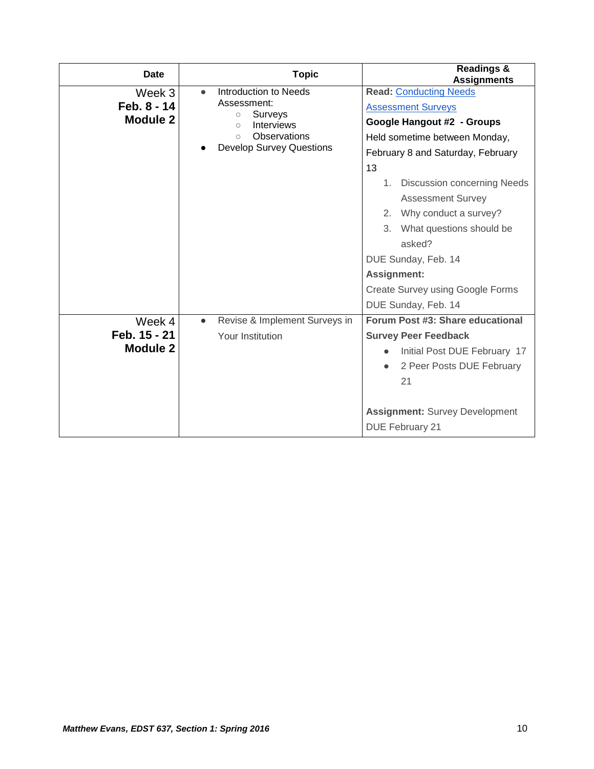| Date                               | <b>Topic</b>                                                          | <b>Readings &amp;</b><br><b>Assignments</b>                                                                                                     |
|------------------------------------|-----------------------------------------------------------------------|-------------------------------------------------------------------------------------------------------------------------------------------------|
| Week 3<br>Feb. 8 - 14              | Introduction to Needs<br>$\bullet$<br>Assessment:                     | <b>Read: Conducting Needs</b><br><b>Assessment Surveys</b>                                                                                      |
| Module 2                           | Surveys<br>$\circ$<br><b>Interviews</b><br>$\circ$<br>Observations    | Google Hangout #2 - Groups                                                                                                                      |
|                                    | $\bigcap$<br><b>Develop Survey Questions</b>                          | Held sometime between Monday,<br>February 8 and Saturday, February<br>13                                                                        |
|                                    |                                                                       | <b>Discussion concerning Needs</b><br>1.<br><b>Assessment Survey</b><br>2. Why conduct a survey?<br>3. What questions should be<br>asked?       |
|                                    |                                                                       | DUE Sunday, Feb. 14<br>Assignment:<br><b>Create Survey using Google Forms</b><br>DUE Sunday, Feb. 14                                            |
| Week 4<br>Feb. 15 - 21<br>Module 2 | Revise & Implement Surveys in<br>$\bullet$<br><b>Your Institution</b> | Forum Post #3: Share educational<br><b>Survey Peer Feedback</b><br>Initial Post DUE February 17<br>2 Peer Posts DUE February<br>$\bullet$<br>21 |
|                                    |                                                                       | <b>Assignment: Survey Development</b><br><b>DUE February 21</b>                                                                                 |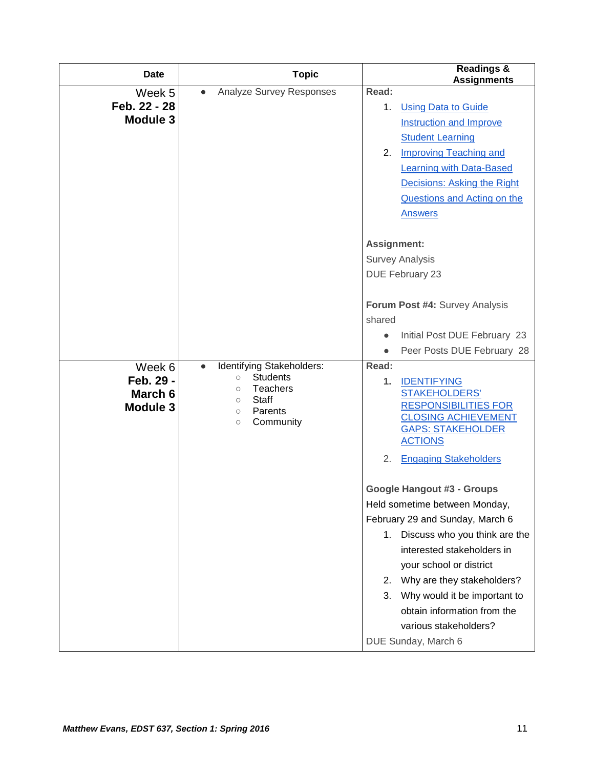| <b>Date</b>     |                                        | <b>Topic</b>                       |             | <b>Readings &amp;</b><br><b>Assignments</b>         |
|-----------------|----------------------------------------|------------------------------------|-------------|-----------------------------------------------------|
| Week 5          | $\bullet$                              | Analyze Survey Responses           | Read:       |                                                     |
| Feb. 22 - 28    |                                        |                                    | 1.          | <b>Using Data to Guide</b>                          |
| <b>Module 3</b> |                                        |                                    |             | <b>Instruction and Improve</b>                      |
|                 |                                        |                                    |             | <b>Student Learning</b>                             |
|                 |                                        |                                    | 2.          | <b>Improving Teaching and</b>                       |
|                 |                                        |                                    |             | <b>Learning with Data-Based</b>                     |
|                 |                                        |                                    |             | Decisions: Asking the Right                         |
|                 |                                        |                                    |             | <b>Questions and Acting on the</b>                  |
|                 |                                        |                                    |             | <b>Answers</b>                                      |
|                 |                                        |                                    | Assignment: |                                                     |
|                 |                                        |                                    |             | <b>Survey Analysis</b>                              |
|                 |                                        |                                    |             | DUE February 23                                     |
|                 |                                        |                                    |             |                                                     |
|                 |                                        |                                    |             | Forum Post #4: Survey Analysis                      |
|                 |                                        |                                    | shared      |                                                     |
|                 |                                        |                                    |             | Initial Post DUE February 23                        |
|                 |                                        |                                    |             | Peer Posts DUE February 28                          |
| Week 6          | Identifying Stakeholders:<br>$\bullet$ |                                    | Read:       |                                                     |
| Feb. 29 -       | $\circ$<br>$\circlearrowright$         | <b>Students</b><br><b>Teachers</b> | 1.          | <b>IDENTIFYING</b>                                  |
| March 6         | <b>Staff</b><br>$\circ$                |                                    |             | <b>STAKEHOLDERS'</b><br><b>RESPONSIBILITIES FOR</b> |
| Module 3        | Parents<br>$\circlearrowright$         |                                    |             | <b>CLOSING ACHIEVEMENT</b>                          |
|                 | $\circlearrowright$                    | Community                          |             | <b>GAPS: STAKEHOLDER</b>                            |
|                 |                                        |                                    |             | <b>ACTIONS</b>                                      |
|                 |                                        |                                    | 2.          | <b>Engaging Stakeholders</b>                        |
|                 |                                        |                                    |             | <b>Google Hangout #3 - Groups</b>                   |
|                 |                                        |                                    |             | Held sometime between Monday,                       |
|                 |                                        |                                    |             | February 29 and Sunday, March 6                     |
|                 |                                        |                                    | 1.          | Discuss who you think are the                       |
|                 |                                        |                                    |             | interested stakeholders in                          |
|                 |                                        |                                    |             | your school or district                             |
|                 |                                        |                                    | 2.          | Why are they stakeholders?                          |
|                 |                                        |                                    | 3.          | Why would it be important to                        |
|                 |                                        |                                    |             | obtain information from the                         |
|                 |                                        |                                    |             | various stakeholders?                               |
|                 |                                        |                                    |             | DUE Sunday, March 6                                 |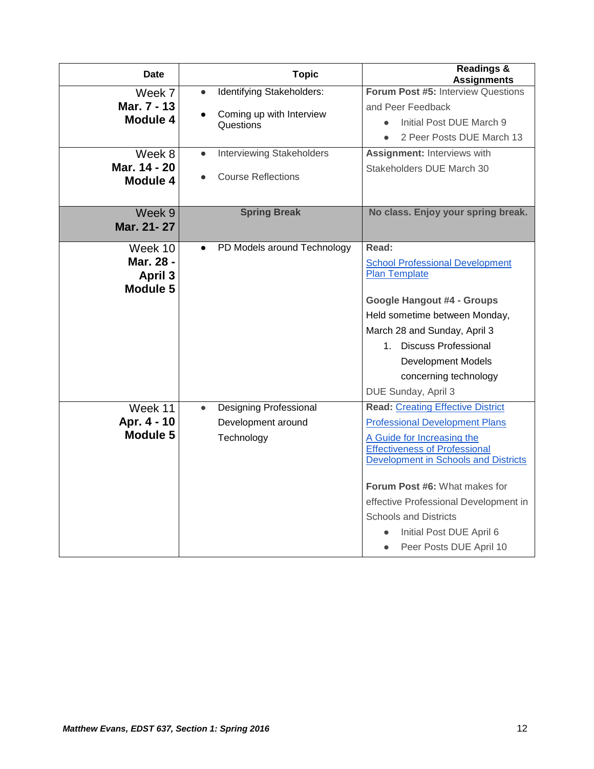| Date         | <b>Topic</b> |                                       | <b>Readings &amp;</b><br><b>Assignments</b>                                         |
|--------------|--------------|---------------------------------------|-------------------------------------------------------------------------------------|
| Week 7       | $\bullet$    | Identifying Stakeholders:             | Forum Post #5: Interview Questions                                                  |
| Mar. 7 - 13  |              |                                       | and Peer Feedback                                                                   |
| Module 4     |              | Coming up with Interview<br>Questions | Initial Post DUE March 9                                                            |
|              |              |                                       | 2 Peer Posts DUE March 13                                                           |
| Week 8       |              | <b>Interviewing Stakeholders</b>      | <b>Assignment: Interviews with</b>                                                  |
| Mar. 14 - 20 |              |                                       | Stakeholders DUE March 30                                                           |
| Module 4     |              | <b>Course Reflections</b>             |                                                                                     |
|              |              |                                       |                                                                                     |
| Week 9       |              | <b>Spring Break</b>                   | No class. Enjoy your spring break.                                                  |
| Mar. 21-27   |              |                                       |                                                                                     |
| Week 10      |              | PD Models around Technology           | Read:                                                                               |
| Mar. 28 -    |              |                                       | <b>School Professional Development</b>                                              |
| April 3      |              |                                       | <b>Plan Template</b>                                                                |
| Module 5     |              |                                       |                                                                                     |
|              |              |                                       | <b>Google Hangout #4 - Groups</b>                                                   |
|              |              |                                       | Held sometime between Monday,                                                       |
|              |              |                                       | March 28 and Sunday, April 3                                                        |
|              |              |                                       | 1. Discuss Professional                                                             |
|              |              |                                       | <b>Development Models</b>                                                           |
|              |              |                                       | concerning technology                                                               |
|              |              |                                       | DUE Sunday, April 3                                                                 |
| Week 11      | $\bullet$    | Designing Professional                | <b>Read: Creating Effective District</b>                                            |
| Apr. 4 - 10  |              | Development around                    | <b>Professional Development Plans</b>                                               |
| Module 5     |              | Technology                            | A Guide for Increasing the                                                          |
|              |              |                                       | <b>Effectiveness of Professional</b><br><b>Development in Schools and Districts</b> |
|              |              |                                       |                                                                                     |
|              |              |                                       | Forum Post #6: What makes for                                                       |
|              |              |                                       | effective Professional Development in                                               |
|              |              |                                       | <b>Schools and Districts</b>                                                        |
|              |              |                                       | Initial Post DUE April 6                                                            |
|              |              |                                       | Peer Posts DUE April 10<br>$\bullet$                                                |